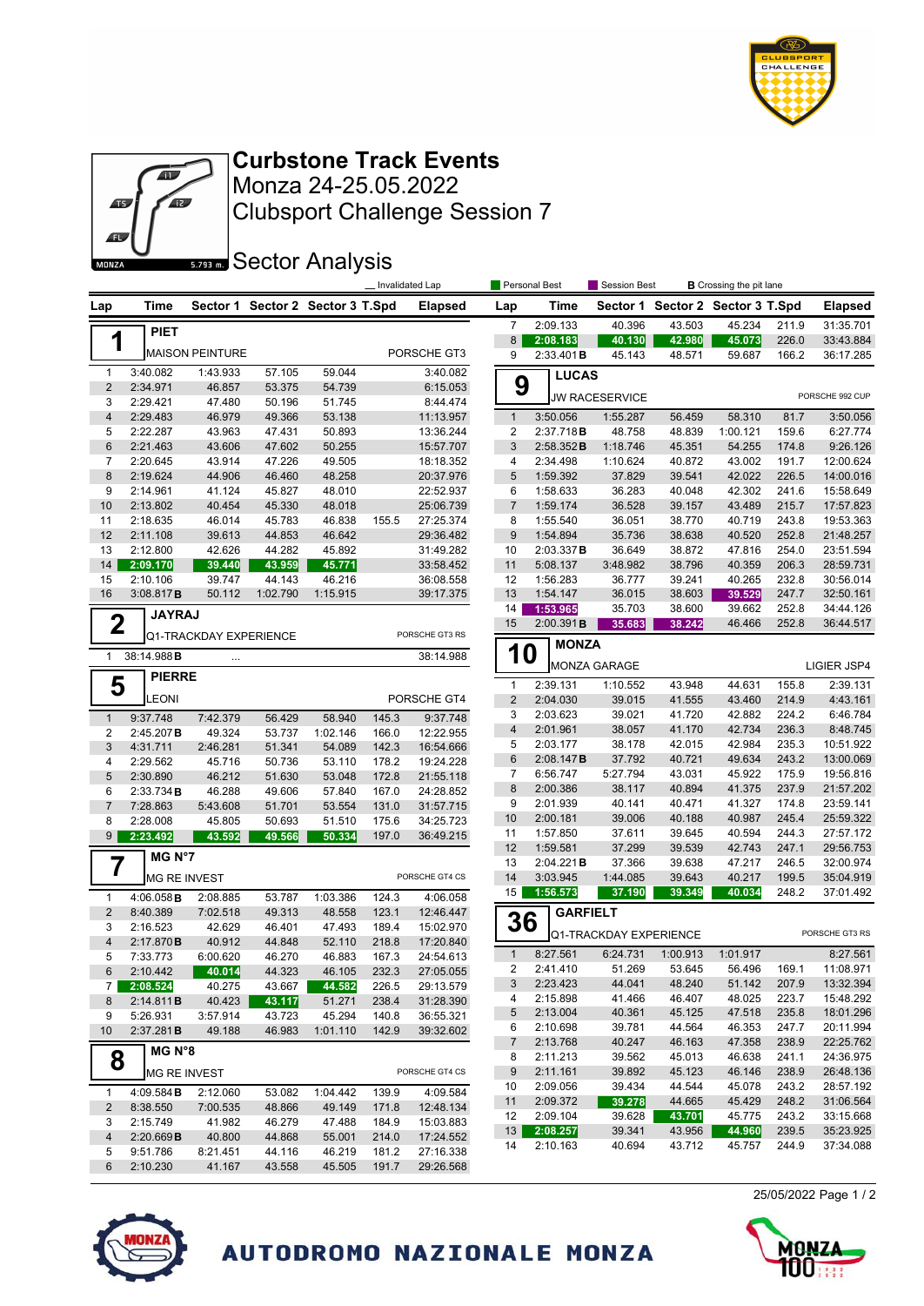

25/05/2022 Page 1 / 2



Monza 24-25.05.2022 **Curbstone Track Events**

Clubsport Challenge Session 7

**Sector Analysis** 

|                         |                       |                                        |                                  |                  | _Invalidated Lap |                        | Personal Best<br>Session Best<br><b>B</b> Crossing the pit lane |                           |                                  |                  |                  |                |                        |  |
|-------------------------|-----------------------|----------------------------------------|----------------------------------|------------------|------------------|------------------------|-----------------------------------------------------------------|---------------------------|----------------------------------|------------------|------------------|----------------|------------------------|--|
| Lap                     | Time                  |                                        | Sector 1 Sector 2 Sector 3 T.Spd |                  |                  | <b>Elapsed</b>         | Lap                                                             | Time                      | Sector 1 Sector 2 Sector 3 T.Spd |                  |                  |                | <b>Elapsed</b>         |  |
|                         | <b>PIET</b>           |                                        |                                  |                  |                  |                        | $\overline{7}$                                                  | 2:09.133                  | 40.396                           | 43.503           | 45.234           | 211.9          | 31:35.701              |  |
|                         | 1                     |                                        |                                  |                  |                  |                        | 8                                                               | 2:08.183                  | 40.130                           | 42.980           | 45.073           | 226.0          | 33:43.884              |  |
|                         |                       | <b>MAISON PEINTURE</b>                 |                                  |                  |                  | PORSCHE GT3            | 9                                                               | 2:33.401B                 | 45.143                           | 48.571           | 59.687           | 166.2          | 36:17.285              |  |
| $\mathbf{1}$            | 3:40.082              | 1:43.933                               | 57.105                           | 59.044           |                  | 3:40.082               | 9                                                               | <b>LUCAS</b>              |                                  |                  |                  |                |                        |  |
| $\overline{2}$          | 2:34.971              | 46.857                                 | 53.375                           | 54.739           |                  | 6:15.053               |                                                                 |                           | <b>JW RACESERVICE</b>            |                  |                  |                | PORSCHE 992 CUP        |  |
| 3<br>$\sqrt{4}$         | 2:29.421<br>2:29.483  | 47.480<br>46.979                       | 50.196<br>49.366                 | 51.745<br>53.138 |                  | 8:44.474<br>11:13.957  | $\mathbf{1}$                                                    | 3:50.056                  | 1:55.287                         | 56.459           | 58.310           | 81.7           | 3:50.056               |  |
| 5                       | 2:22.287              | 43.963                                 | 47.431                           | 50.893           |                  | 13:36.244              | 2                                                               | 2:37.718B                 | 48.758                           | 48.839           | 1:00.121         | 159.6          | 6:27.774               |  |
| $\,6$                   | 2:21.463              | 43.606                                 | 47.602                           | 50.255           |                  | 15:57.707              | 3                                                               | 2:58.352B                 | 1:18.746                         | 45.351           | 54.255           | 174.8          | 9:26.126               |  |
| $\overline{7}$          | 2:20.645              | 43.914                                 | 47.226                           | 49.505           |                  | 18:18.352              | 4                                                               | 2:34.498                  | 1:10.624                         | 40.872           | 43.002           | 191.7          | 12:00.624              |  |
| 8                       | 2:19.624              | 44.906                                 | 46.460                           | 48.258           |                  | 20:37.976              | 5                                                               | 1:59.392                  | 37.829                           | 39.541           | 42.022           | 226.5          | 14:00.016              |  |
| 9                       | 2:14.961              | 41.124                                 | 45.827                           | 48.010           |                  | 22:52.937              | 6                                                               | 1:58.633                  | 36.283                           | 40.048           | 42.302           | 241.6          | 15:58.649              |  |
| 10                      | 2:13.802              | 40.454                                 | 45.330                           | 48.018           |                  | 25:06.739              | $\overline{7}$                                                  | 1:59.174                  | 36.528                           | 39.157           | 43.489           | 215.7          | 17:57.823              |  |
| 11                      | 2:18.635              | 46.014                                 | 45.783                           | 46.838           | 155.5            | 27:25.374              | 8                                                               | 1:55.540                  | 36.051                           | 38.770           | 40.719           | 243.8          | 19:53.363              |  |
| 12                      | 2:11.108              | 39.613                                 | 44.853                           | 46.642           |                  | 29:36.482              | 9                                                               | 1:54.894                  | 35.736                           | 38.638           | 40.520           | 252.8          | 21:48.257              |  |
| 13                      | 2:12.800              | 42.626                                 | 44.282                           | 45.892           |                  | 31:49.282              | 10                                                              | 2:03.337B                 | 36.649                           | 38.872           | 47.816           | 254.0          | 23:51.594              |  |
| 14                      | 2:09.170              | 39.440                                 | 43.959                           | 45.771           |                  | 33:58.452              | 11                                                              | 5:08.137                  | 3:48.982                         | 38.796           | 40.359           | 206.3          | 28:59.731              |  |
| 15                      | 2:10.106              | 39.747                                 | 44.143                           | 46.216           |                  | 36:08.558              | 12                                                              | 1:56.283                  | 36.777                           | 39.241           | 40.265           | 232.8          | 30:56.014              |  |
| 16                      | 3:08.817B             | 50.112                                 | 1:02.790                         | 1:15.915         |                  | 39:17.375              | 13                                                              | 1:54.147                  | 36.015                           | 38.603           | 39.529           | 247.7          | 32:50.161              |  |
|                         | <b>JAYRAJ</b>         |                                        |                                  |                  |                  |                        | 14<br>15                                                        | 1:53.965<br>2:00.391B     | 35.703                           | 38.600<br>38.242 | 39.662<br>46.466 | 252.8<br>252.8 | 34:44.126<br>36:44.517 |  |
|                         | $\mathbf 2$           | Q1-TRACKDAY EXPERIENCE                 |                                  |                  |                  | PORSCHE GT3 RS         |                                                                 |                           | 35.683                           |                  |                  |                |                        |  |
|                         | 38:14.988B            |                                        |                                  |                  |                  |                        |                                                                 | <b>MONZA</b><br><b>10</b> |                                  |                  |                  |                |                        |  |
| $\mathbf{1}$            |                       | $\ldots$                               |                                  |                  |                  | 38:14.988              |                                                                 |                           | <b>MONZA GARAGE</b>              |                  |                  |                | LIGIER JSP4            |  |
|                         | <b>PIERRE</b><br>5    |                                        |                                  |                  |                  |                        | $\mathbf{1}$                                                    | 2:39.131                  | 1:10.552                         | 43.948           | 44.631           | 155.8          | 2:39.131               |  |
|                         | <b>LEONI</b>          |                                        |                                  |                  |                  | PORSCHE GT4            | $\overline{2}$                                                  | 2:04.030                  | 39.015                           | 41.555           | 43.460           | 214.9          | 4:43.161               |  |
| $\mathbf{1}$            | 9:37.748              | 7:42.379                               | 56.429                           | 58.940           | 145.3            | 9:37.748               | 3                                                               | 2:03.623                  | 39.021                           | 41.720           | 42.882           | 224.2          | 6:46.784               |  |
| $\overline{\mathbf{c}}$ | 2:45.207B             | 49.324                                 | 53.737                           | 1:02.146         | 166.0            | 12:22.955              | 4                                                               | 2:01.961                  | 38.057                           | 41.170           | 42.734           | 236.3          | 8:48.745               |  |
| 3                       | 4:31.711              | 2:46.281                               | 51.341                           | 54.089           | 142.3            | 16:54.666              | 5                                                               | 2:03.177                  | 38.178                           | 42.015           | 42.984           | 235.3          | 10:51.922              |  |
| 4                       | 2:29.562              | 45.716                                 | 50.736                           | 53.110           | 178.2            | 19:24.228              | 6                                                               | 2:08.147B                 | 37.792                           | 40.721           | 49.634           | 243.2          | 13:00.069              |  |
| $\sqrt{5}$              | 2:30.890              | 46.212                                 | 51.630                           | 53.048           | 172.8            | 21:55.118              | 7                                                               | 6:56.747                  | 5:27.794                         | 43.031           | 45.922           | 175.9          | 19:56.816              |  |
| 6                       | 2:33.734 B            | 46.288                                 | 49.606                           | 57.840           | 167.0            | 24:28.852              | 8                                                               | 2:00.386                  | 38.117                           | 40.894           | 41.375           | 237.9          | 21:57.202              |  |
| $\overline{7}$          | 7:28.863              | 5:43.608                               | 51.701                           | 53.554           | 131.0            | 31:57.715              | 9                                                               | 2:01.939                  | 40.141                           | 40.471           | 41.327           | 174.8          | 23:59.141              |  |
| 8                       | 2:28.008              | 45.805                                 | 50.693                           | 51.510           | 175.6            | 34:25.723              | 10                                                              | 2:00.181                  | 39.006                           | 40.188           | 40.987           | 245.4          | 25:59.322              |  |
| 9                       | 2:23.492              | 43.592                                 | 49.566                           | 50.334           | 197.0            | 36:49.215              | 11                                                              | 1:57.850                  | 37.611                           | 39.645           | 40.594           | 244.3          | 27:57.172              |  |
|                         | MG N°7                |                                        |                                  |                  |                  |                        | 12                                                              | 1:59.581                  | 37.299                           | 39.539           | 42.743           | 247.1          | 29:56.753              |  |
|                         | 7                     |                                        |                                  |                  |                  | PORSCHE GT4 CS         | 13                                                              | 2:04.221B                 | 37.366                           | 39.638           | 47.217           | 246.5          | 32:00.974              |  |
|                         |                       | <b>MG RE INVEST</b>                    |                                  |                  |                  |                        | 14<br>15                                                        | 3:03.945<br>1:56.573      | 1:44.085<br>37.190               | 39.643<br>39.349 | 40.217<br>40.034 | 199.5<br>248.2 | 35:04.919<br>37:01.492 |  |
| $\mathbf{1}$            | 4:06.058B             | 2:08.885                               | 53.787                           | 1:03.386         | 124.3            | 4:06.058               |                                                                 |                           |                                  |                  |                  |                |                        |  |
| $\sqrt{2}$              | 8:40.389              | 7:02.518                               | 49.313                           | 48.558           | 123.1            | 12:46.447              | 36                                                              | <b>GARFIELT</b>           |                                  |                  |                  |                |                        |  |
| 3<br>$\overline{4}$     | 2:16.523              | 42.629                                 | 46.401                           | 47.493           | 189.4            | 15:02.970              |                                                                 |                           | Q1-TRACKDAY EXPERIENCE           |                  |                  |                | PORSCHE GT3 RS         |  |
| 5                       | 2:17.870B<br>7:33.773 | 40.912<br>6:00.620                     | 44.848<br>46.270                 | 52.110<br>46.883 | 218.8<br>167.3   | 17:20.840<br>24:54.613 | $\mathbf{1}$                                                    | 8:27.561                  | 6:24.731                         | 1:00.913         | 1:01.917         |                | 8:27.561               |  |
| 6                       | 2:10.442              | $\begin{array}{ c} 40.014 \end{array}$ | 44.323                           | 46.105           | 232.3            | 27:05.055              | 2                                                               | 2:41.410                  | 51.269                           | 53.645           | 56.496           | 169.1          | 11:08.971              |  |
| 7 I                     | 2:08.524              | 40.275                                 | 43.667                           | 44.582           | 226.5            | 29:13.579              | 3                                                               | 2:23.423                  | 44.041                           | 48.240           | 51.142           | 207.9          | 13:32.394              |  |
| 8                       | 2:14.811B             | 40.423                                 | 43.117                           | 51.271           | 238.4            | 31:28.390              | 4                                                               | 2:15.898                  | 41.466                           | 46.407           | 48.025           | 223.7          | 15:48.292              |  |
| 9                       | 5:26.931              | 3:57.914                               | 43.723                           | 45.294           | 140.8            | 36:55.321              | 5                                                               | 2:13.004                  | 40.361                           | 45.125           | 47.518           | 235.8          | 18:01.296              |  |
| 10                      | 2:37.281B             | 49.188                                 | 46.983                           | 1:01.110         | 142.9            | 39:32.602              | 6                                                               | 2:10.698                  | 39.781                           | 44.564           | 46.353           | 247.7          | 20:11.994              |  |
|                         | MG N°8                |                                        |                                  |                  |                  |                        | 7                                                               | 2:13.768                  | 40.247                           | 46.163           | 47.358           | 238.9          | 22:25.762              |  |
|                         | 8                     |                                        |                                  |                  |                  |                        | 8                                                               | 2:11.213                  | 39.562                           | 45.013           | 46.638           | 241.1          | 24:36.975              |  |
|                         |                       | MG RE INVEST                           |                                  |                  |                  | PORSCHE GT4 CS         | 9                                                               | 2:11.161                  | 39.892                           | 45.123           | 46.146           | 238.9          | 26:48.136              |  |
| $\mathbf{1}$            | 4:09.584 B            | 2:12.060                               | 53.082                           | 1:04.442         | 139.9            | 4:09.584               | 10                                                              | 2:09.056                  | 39.434                           | 44.544           | 45.078           | 243.2          | 28:57.192              |  |
| $\overline{2}$          | 8:38.550              | 7:00.535                               | 48.866                           | 49.149           | 171.8            | 12:48.134              | 11                                                              | 2:09.372                  | 39.278                           | 44.665           | 45.429           | 248.2          | 31:06.564              |  |
| 3                       | 2:15.749              | 41.982                                 | 46.279                           | 47.488           | 184.9            | 15:03.883              | 12                                                              | 2:09.104                  | 39.628                           | 43.701           | 45.775           | 243.2          | 33:15.668              |  |
| 4                       | 2:20.669B             | 40.800                                 | 44.868                           | 55.001           | 214.0            | 17:24.552              | 13                                                              | 2:08.257                  | 39.341                           | 43.956           | 44.960           | 239.5          | 35:23.925              |  |
| 5                       | 9:51.786              | 8:21.451                               | 44.116                           | 46.219           | 181.2            | 27:16.338              | 14                                                              | 2:10.163                  | 40.694                           | 43.712           | 45.757           | 244.9          | 37:34.088              |  |
| 6                       | 2:10.230              | 41.167                                 | 43.558                           | 45.505           | 191.7            | 29:26.568              |                                                                 |                           |                                  |                  |                  |                |                        |  |
|                         |                       |                                        |                                  |                  |                  |                        |                                                                 |                           |                                  |                  |                  |                |                        |  |



AUTODROMO NAZIONALE MONZA